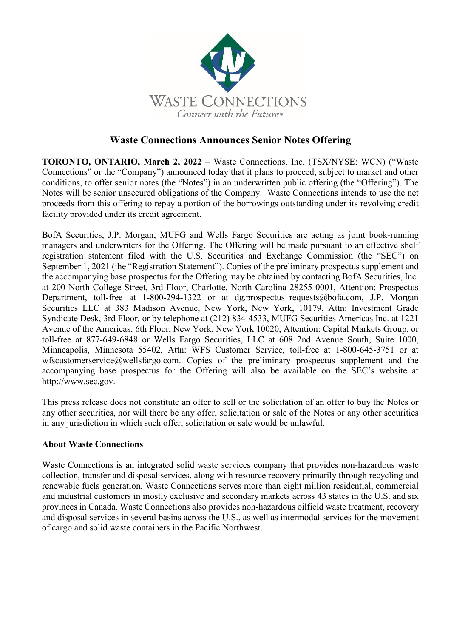

## **Waste Connections Announces Senior Notes Offering**

**TORONTO, ONTARIO, March 2, 2022** – Waste Connections, Inc. (TSX/NYSE: WCN) ("Waste Connections" or the "Company") announced today that it plans to proceed, subject to market and other conditions, to offer senior notes (the "Notes") in an underwritten public offering (the "Offering"). The Notes will be senior unsecured obligations of the Company. Waste Connections intends to use the net proceeds from this offering to repay a portion of the borrowings outstanding under its revolving credit facility provided under its credit agreement.

BofA Securities, J.P. Morgan, MUFG and Wells Fargo Securities are acting as joint book-running managers and underwriters for the Offering. The Offering will be made pursuant to an effective shelf registration statement filed with the U.S. Securities and Exchange Commission (the "SEC") on September 1, 2021 (the "Registration Statement"). Copies of the preliminary prospectus supplement and the accompanying base prospectus for the Offering may be obtained by contacting BofA Securities, Inc. at 200 North College Street, 3rd Floor, Charlotte, North Carolina 28255-0001, Attention: Prospectus Department, toll-free at 1-800-294-1322 or at dg.prospectus requests@bofa.com, J.P. Morgan Securities LLC at 383 Madison Avenue, New York, New York, 10179, Attn: Investment Grade Syndicate Desk, 3rd Floor, or by telephone at (212) 834-4533, MUFG Securities Americas Inc. at 1221 Avenue of the Americas, 6th Floor, New York, New York 10020, Attention: Capital Markets Group, or toll-free at 877-649-6848 or Wells Fargo Securities, LLC at 608 2nd Avenue South, Suite 1000, Minneapolis, Minnesota 55402, Attn: WFS Customer Service, toll-free at 1-800-645-3751 or at wfscustomerservice@wellsfargo.com. Copies of the preliminary prospectus supplement and the accompanying base prospectus for the Offering will also be available on the SEC's website at http://www.sec.gov.

This press release does not constitute an offer to sell or the solicitation of an offer to buy the Notes or any other securities, nor will there be any offer, solicitation or sale of the Notes or any other securities in any jurisdiction in which such offer, solicitation or sale would be unlawful.

## **About Waste Connections**

Waste Connections is an integrated solid waste services company that provides non-hazardous waste collection, transfer and disposal services, along with resource recovery primarily through recycling and renewable fuels generation. Waste Connections serves more than eight million residential, commercial and industrial customers in mostly exclusive and secondary markets across 43 states in the U.S. and six provinces in Canada. Waste Connections also provides non-hazardous oilfield waste treatment, recovery and disposal services in several basins across the U.S., as well as intermodal services for the movement of cargo and solid waste containers in the Pacific Northwest.